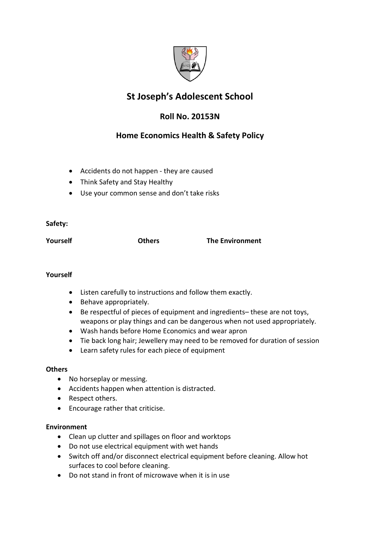

# St Joseph's Adolescent School

## Roll No. 20153N

## Home Economics Health & Safety Policy

- Accidents do not happen they are caused
- Think Safety and Stay Healthy
- Use your common sense and don't take risks

### Safety:

Yourself Others The Environment

### Yourself

- Listen carefully to instructions and follow them exactly.
- Behave appropriately.
- Be respectful of pieces of equipment and ingredients– these are not toys, weapons or play things and can be dangerous when not used appropriately.
- Wash hands before Home Economics and wear apron
- Tie back long hair; Jewellery may need to be removed for duration of session
- Learn safety rules for each piece of equipment

### **Others**

- No horseplay or messing.
- Accidents happen when attention is distracted.
- Respect others.
- Encourage rather that criticise.

### Environment

- Clean up clutter and spillages on floor and worktops
- Do not use electrical equipment with wet hands
- Switch off and/or disconnect electrical equipment before cleaning. Allow hot surfaces to cool before cleaning.
- Do not stand in front of microwave when it is in use